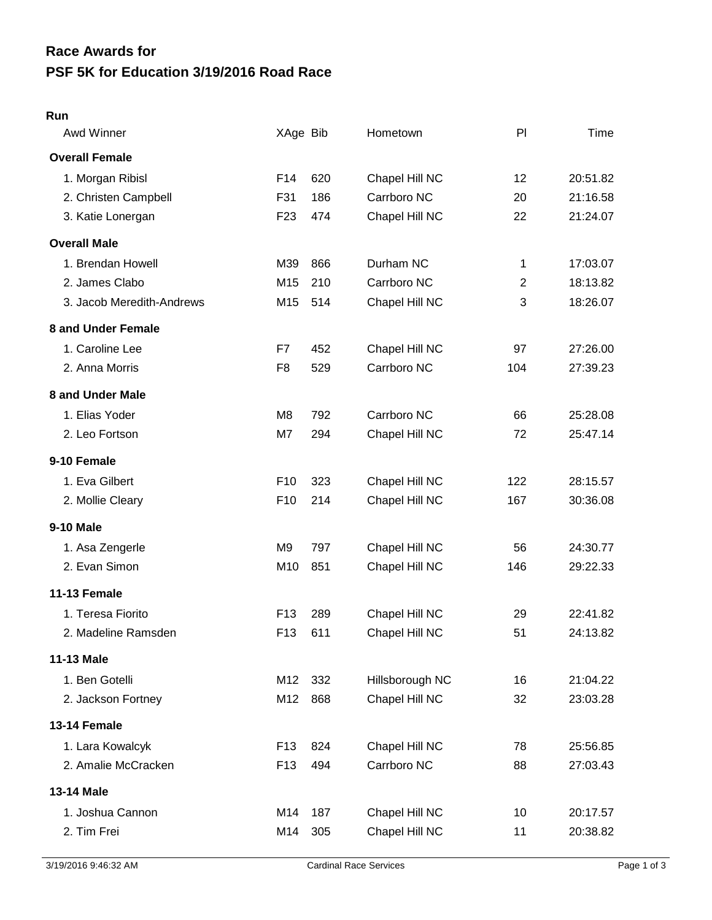## **PSF 5K for Education 3/19/2016 Road Race Race Awards for**

## **Run**

| Awd Winner                | XAge Bib        |     | Hometown        | PI             | Time     |
|---------------------------|-----------------|-----|-----------------|----------------|----------|
| <b>Overall Female</b>     |                 |     |                 |                |          |
| 1. Morgan Ribisl          | F14             | 620 | Chapel Hill NC  | 12             | 20:51.82 |
| 2. Christen Campbell      | F31             | 186 | Carrboro NC     | 20             | 21:16.58 |
| 3. Katie Lonergan         | F <sub>23</sub> | 474 | Chapel Hill NC  | 22             | 21:24.07 |
| <b>Overall Male</b>       |                 |     |                 |                |          |
| 1. Brendan Howell         | M39             | 866 | Durham NC       | 1              | 17:03.07 |
| 2. James Clabo            | M <sub>15</sub> | 210 | Carrboro NC     | $\overline{2}$ | 18:13.82 |
| 3. Jacob Meredith-Andrews | M15             | 514 | Chapel Hill NC  | 3              | 18:26.07 |
| 8 and Under Female        |                 |     |                 |                |          |
| 1. Caroline Lee           | F7              | 452 | Chapel Hill NC  | 97             | 27:26.00 |
| 2. Anna Morris            | F <sub>8</sub>  | 529 | Carrboro NC     | 104            | 27:39.23 |
| 8 and Under Male          |                 |     |                 |                |          |
| 1. Elias Yoder            | M8              | 792 | Carrboro NC     | 66             | 25:28.08 |
| 2. Leo Fortson            | M7              | 294 | Chapel Hill NC  | 72             | 25:47.14 |
| 9-10 Female               |                 |     |                 |                |          |
| 1. Eva Gilbert            | F <sub>10</sub> | 323 | Chapel Hill NC  | 122            | 28:15.57 |
| 2. Mollie Cleary          | F <sub>10</sub> | 214 | Chapel Hill NC  | 167            | 30:36.08 |
| <b>9-10 Male</b>          |                 |     |                 |                |          |
| 1. Asa Zengerle           | M9              | 797 | Chapel Hill NC  | 56             | 24:30.77 |
| 2. Evan Simon             | M10             | 851 | Chapel Hill NC  | 146            | 29:22.33 |
| 11-13 Female              |                 |     |                 |                |          |
| 1. Teresa Fiorito         | F <sub>13</sub> | 289 | Chapel Hill NC  | 29             | 22:41.82 |
| 2. Madeline Ramsden       | F <sub>13</sub> | 611 | Chapel Hill NC  | 51             | 24:13.82 |
| <b>11-13 Male</b>         |                 |     |                 |                |          |
| 1. Ben Gotelli            | M12             | 332 | Hillsborough NC | 16             | 21:04.22 |
| 2. Jackson Fortney        | M12             | 868 | Chapel Hill NC  | 32             | 23:03.28 |
| 13-14 Female              |                 |     |                 |                |          |
| 1. Lara Kowalcyk          | F <sub>13</sub> | 824 | Chapel Hill NC  | 78             | 25:56.85 |
| 2. Amalie McCracken       | F <sub>13</sub> | 494 | Carrboro NC     | 88             | 27:03.43 |
| 13-14 Male                |                 |     |                 |                |          |
| 1. Joshua Cannon          | M14             | 187 | Chapel Hill NC  | 10             | 20:17.57 |
| 2. Tim Frei               | M14             | 305 | Chapel Hill NC  | 11             | 20:38.82 |
|                           |                 |     |                 |                |          |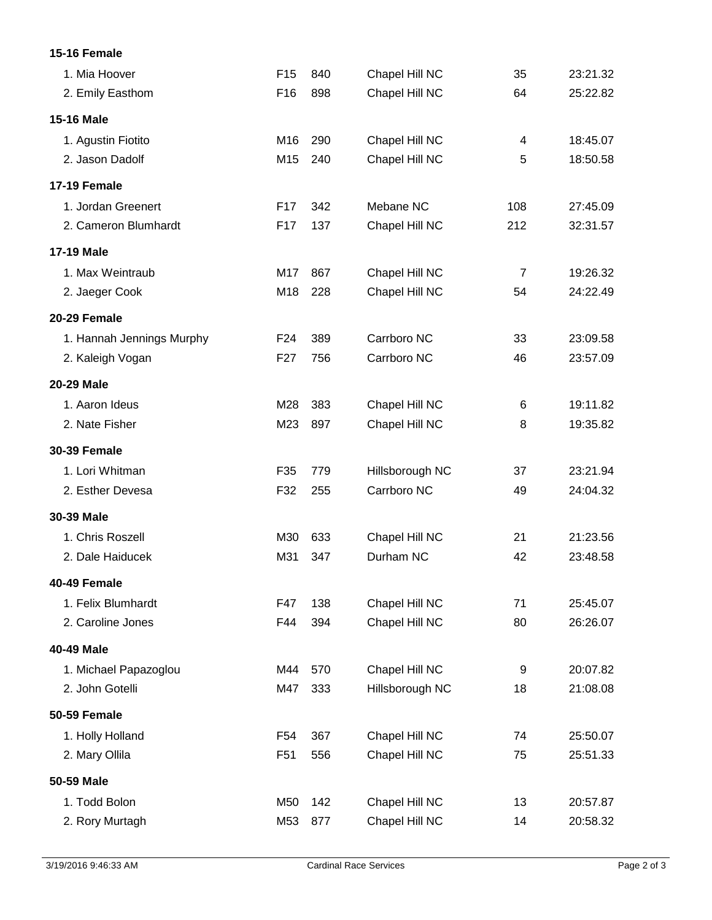## **15-16 Female**

| 1. Mia Hoover             | F <sub>15</sub> | 840 | Chapel Hill NC  | 35             | 23:21.32 |
|---------------------------|-----------------|-----|-----------------|----------------|----------|
| 2. Emily Easthom          | F <sub>16</sub> | 898 | Chapel Hill NC  | 64             | 25:22.82 |
| <b>15-16 Male</b>         |                 |     |                 |                |          |
| 1. Agustin Fiotito        | M16             | 290 | Chapel Hill NC  | 4              | 18:45.07 |
| 2. Jason Dadolf           | M15             | 240 | Chapel Hill NC  | 5              | 18:50.58 |
| <b>17-19 Female</b>       |                 |     |                 |                |          |
| 1. Jordan Greenert        | F <sub>17</sub> | 342 | Mebane NC       | 108            | 27:45.09 |
| 2. Cameron Blumhardt      | F17             | 137 | Chapel Hill NC  | 212            | 32:31.57 |
| 17-19 Male                |                 |     |                 |                |          |
| 1. Max Weintraub          | M17             | 867 | Chapel Hill NC  | $\overline{7}$ | 19:26.32 |
| 2. Jaeger Cook            | M18             | 228 | Chapel Hill NC  | 54             | 24:22.49 |
| 20-29 Female              |                 |     |                 |                |          |
| 1. Hannah Jennings Murphy | F <sub>24</sub> | 389 | Carrboro NC     | 33             | 23:09.58 |
| 2. Kaleigh Vogan          | F <sub>27</sub> | 756 | Carrboro NC     | 46             | 23:57.09 |
| 20-29 Male                |                 |     |                 |                |          |
| 1. Aaron Ideus            | M28             | 383 | Chapel Hill NC  | 6              | 19:11.82 |
| 2. Nate Fisher            | M23             | 897 | Chapel Hill NC  | 8              | 19:35.82 |
| <b>30-39 Female</b>       |                 |     |                 |                |          |
| 1. Lori Whitman           | F35             | 779 | Hillsborough NC | 37             | 23:21.94 |
| 2. Esther Devesa          | F32             | 255 | Carrboro NC     | 49             | 24:04.32 |
| 30-39 Male                |                 |     |                 |                |          |
| 1. Chris Roszell          | M30             | 633 | Chapel Hill NC  | 21             | 21:23.56 |
| 2. Dale Haiducek          | M31             | 347 | Durham NC       | 42             | 23:48.58 |
| 40-49 Female              |                 |     |                 |                |          |
| 1. Felix Blumhardt        | F47             | 138 | Chapel Hill NC  | 71             | 25:45.07 |
| 2. Caroline Jones         | F44             | 394 | Chapel Hill NC  | 80             | 26:26.07 |
| 40-49 Male                |                 |     |                 |                |          |
| 1. Michael Papazoglou     | M44             | 570 | Chapel Hill NC  | 9              | 20:07.82 |
| 2. John Gotelli           | M47             | 333 | Hillsborough NC | 18             | 21:08.08 |
| <b>50-59 Female</b>       |                 |     |                 |                |          |
| 1. Holly Holland          | F <sub>54</sub> | 367 | Chapel Hill NC  | 74             | 25:50.07 |
| 2. Mary Ollila            | F <sub>51</sub> | 556 | Chapel Hill NC  | 75             | 25:51.33 |
| 50-59 Male                |                 |     |                 |                |          |
| 1. Todd Bolon             | M50             | 142 | Chapel Hill NC  | 13             | 20:57.87 |
| 2. Rory Murtagh           | M53             | 877 | Chapel Hill NC  | 14             | 20:58.32 |